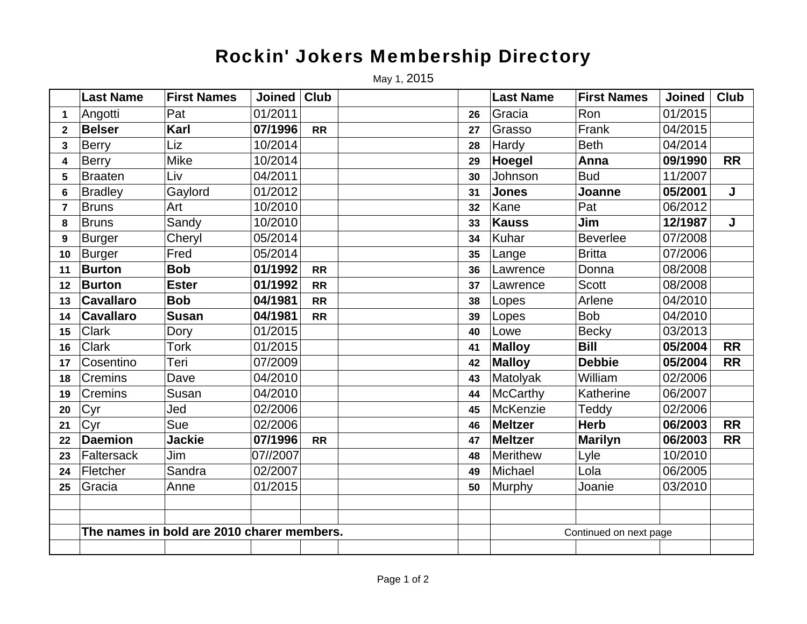## Rockin' Jokers Membership Directory

May 1, 2015

|                | <b>Last Name</b>                           | <b>First Names</b> | <b>Joined</b> | <b>Club</b> |    | <b>Last Name</b>       | <b>First Names</b> | <b>Joined</b> | <b>Club</b> |
|----------------|--------------------------------------------|--------------------|---------------|-------------|----|------------------------|--------------------|---------------|-------------|
| 1              | Angotti                                    | Pat                | 01/2011       |             | 26 | Gracia                 | Ron                | 01/2015       |             |
| $\mathbf{2}$   | <b>Belser</b>                              | Karl               | 07/1996       | <b>RR</b>   | 27 | Grasso                 | Frank              | 04/2015       |             |
| 3              | Berry                                      | Liz                | 10/2014       |             | 28 | Hardy                  | <b>Beth</b>        | 04/2014       |             |
| $\overline{4}$ | <b>Berry</b>                               | <b>Mike</b>        | 10/2014       |             | 29 | Hoegel                 | Anna               | 09/1990       | <b>RR</b>   |
| 5              | <b>Braaten</b>                             | Liv                | 04/2011       |             | 30 | Johnson                | <b>Bud</b>         | 11/2007       |             |
| 6              | <b>Bradley</b>                             | Gaylord            | 01/2012       |             | 31 | <b>Jones</b>           | Joanne             | 05/2001       | J           |
| $\overline{7}$ | <b>Bruns</b>                               | Art                | 10/2010       |             | 32 | Kane                   | Pat                | 06/2012       |             |
| 8              | <b>Bruns</b>                               | Sandy              | 10/2010       |             | 33 | <b>Kauss</b>           | Jim                | 12/1987       | J           |
| 9              | <b>Burger</b>                              | Cheryl             | 05/2014       |             | 34 | Kuhar                  | <b>Beverlee</b>    | 07/2008       |             |
| 10             | <b>Burger</b>                              | Fred               | 05/2014       |             | 35 | Lange                  | <b>Britta</b>      | 07/2006       |             |
| 11             | <b>Burton</b>                              | <b>Bob</b>         | 01/1992       | <b>RR</b>   | 36 | Lawrence               | Donna              | 08/2008       |             |
| 12             | <b>Burton</b>                              | <b>Ester</b>       | 01/1992       | <b>RR</b>   | 37 | Lawrence               | <b>Scott</b>       | 08/2008       |             |
| 13             | <b>Cavallaro</b>                           | <b>Bob</b>         | 04/1981       | <b>RR</b>   | 38 | Lopes                  | Arlene             | 04/2010       |             |
| 14             | <b>Cavallaro</b>                           | <b>Susan</b>       | 04/1981       | <b>RR</b>   | 39 | Lopes                  | <b>Bob</b>         | 04/2010       |             |
| 15             | <b>Clark</b>                               | Dory               | 01/2015       |             | 40 | Lowe                   | <b>Becky</b>       | 03/2013       |             |
| 16             | <b>Clark</b>                               | <b>Tork</b>        | 01/2015       |             | 41 | <b>Malloy</b>          | <b>Bill</b>        | 05/2004       | <b>RR</b>   |
| 17             | Cosentino                                  | Teri               | 07/2009       |             | 42 | <b>Malloy</b>          | <b>Debbie</b>      | 05/2004       | <b>RR</b>   |
| 18             | Cremins                                    | Dave               | 04/2010       |             | 43 | Matolyak               | William            | 02/2006       |             |
| 19             | Cremins                                    | Susan              | 04/2010       |             | 44 | McCarthy               | Katherine          | 06/2007       |             |
| 20             | Cyr                                        | Jed                | 02/2006       |             | 45 | McKenzie               | Teddy              | 02/2006       |             |
| 21             | Cyr                                        | Sue                | 02/2006       |             | 46 | <b>Meltzer</b>         | <b>Herb</b>        | 06/2003       | <b>RR</b>   |
| 22             | <b>Daemion</b>                             | Jackie             | 07/1996       | <b>RR</b>   | 47 | <b>Meltzer</b>         | <b>Marilyn</b>     | 06/2003       | <b>RR</b>   |
| 23             | <b>Faltersack</b>                          | Jim                | 07//2007      |             | 48 | <b>Merithew</b>        | Lyle               | 10/2010       |             |
| 24             | Fletcher                                   | Sandra             | 02/2007       |             | 49 | Michael                | Lola               | 06/2005       |             |
| 25             | Gracia                                     | Anne               | 01/2015       |             | 50 | Murphy                 | Joanie             | 03/2010       |             |
|                |                                            |                    |               |             |    |                        |                    |               |             |
|                |                                            |                    |               |             |    |                        |                    |               |             |
|                | The names in bold are 2010 charer members. |                    |               |             |    | Continued on next page |                    |               |             |
|                |                                            |                    |               |             |    |                        |                    |               |             |